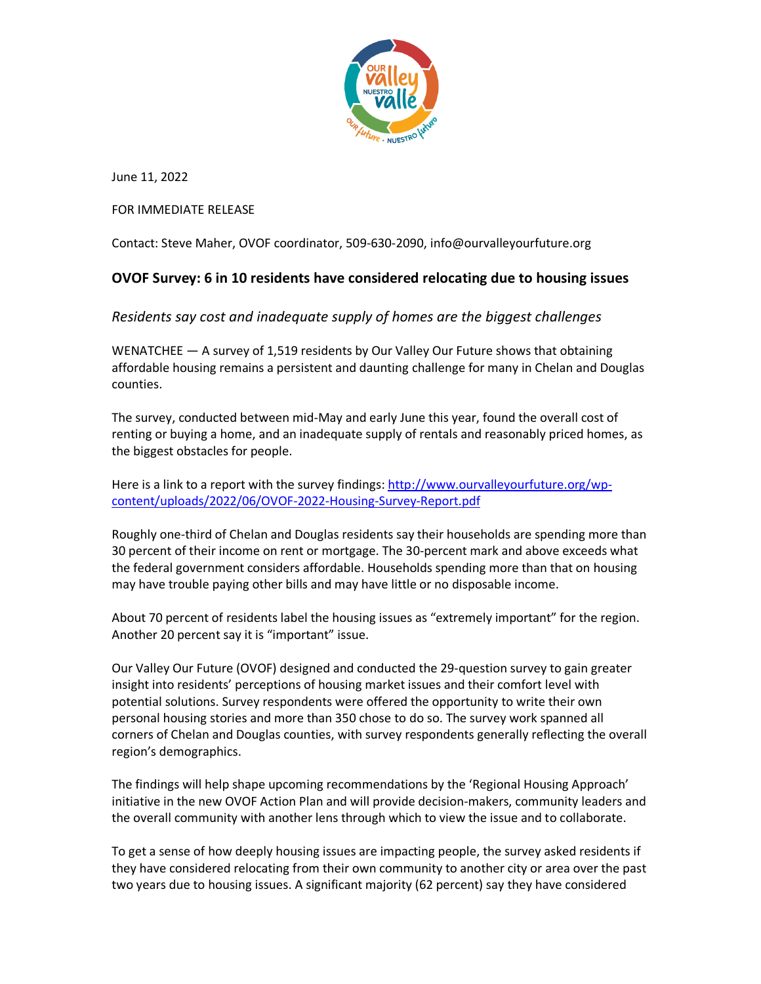

June 11, 2022

FOR IMMEDIATE RELEASE

Contact: Steve Maher, OVOF coordinator, 509-630-2090, info@ourvalleyourfuture.org

## **OVOF Survey: 6 in 10 residents have considered relocating due to housing issues**

## *Residents say cost and inadequate supply of homes are the biggest challenges*

WENATCHEE — A survey of 1,519 residents by Our Valley Our Future shows that obtaining affordable housing remains a persistent and daunting challenge for many in Chelan and Douglas counties.

The survey, conducted between mid-May and early June this year, found the overall cost of renting or buying a home, and an inadequate supply of rentals and reasonably priced homes, as the biggest obstacles for people.

Here is a link to a report with the survey findings: http://www.ourvalleyourfuture.org/wpcontent/uploads/2022/06/OVOF-2022-Housing-Survey-Report.pdf

Roughly one-third of Chelan and Douglas residents say their households are spending more than 30 percent of their income on rent or mortgage. The 30-percent mark and above exceeds what the federal government considers affordable. Households spending more than that on housing may have trouble paying other bills and may have little or no disposable income.

About 70 percent of residents label the housing issues as "extremely important" for the region. Another 20 percent say it is "important" issue.

Our Valley Our Future (OVOF) designed and conducted the 29-question survey to gain greater insight into residents' perceptions of housing market issues and their comfort level with potential solutions. Survey respondents were offered the opportunity to write their own personal housing stories and more than 350 chose to do so. The survey work spanned all corners of Chelan and Douglas counties, with survey respondents generally reflecting the overall region's demographics.

The findings will help shape upcoming recommendations by the 'Regional Housing Approach' initiative in the new OVOF Action Plan and will provide decision-makers, community leaders and the overall community with another lens through which to view the issue and to collaborate.

To get a sense of how deeply housing issues are impacting people, the survey asked residents if they have considered relocating from their own community to another city or area over the past two years due to housing issues. A significant majority (62 percent) say they have considered